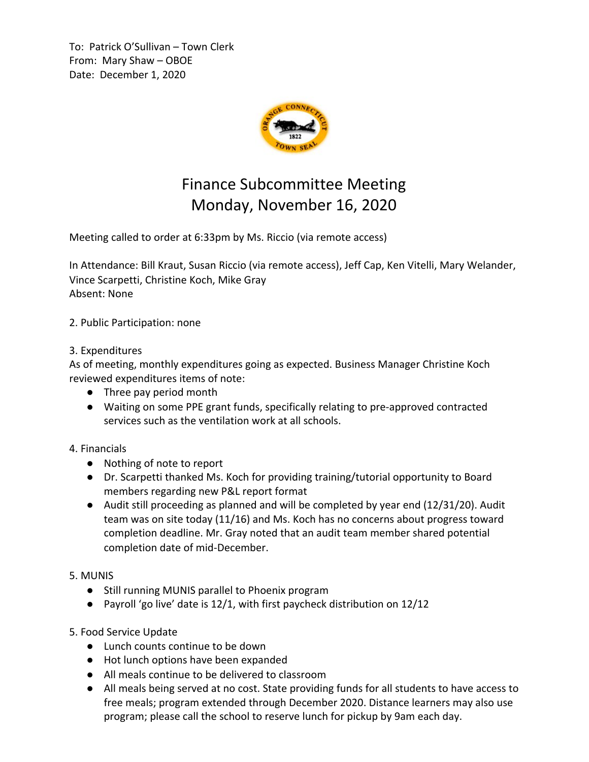To: Patrick O'Sullivan – Town Clerk From: Mary Shaw – OBOE Date: December 1, 2020



## Finance Subcommittee Meeting Monday, November 16, 2020

Meeting called to order at 6:33pm by Ms. Riccio (via remote access)

In Attendance: Bill Kraut, Susan Riccio (via remote access), Jeff Cap, Ken Vitelli, Mary Welander, Vince Scarpetti, Christine Koch, Mike Gray Absent: None

2. Public Participation: none

## 3. Expenditures

As of meeting, monthly expenditures going as expected. Business Manager Christine Koch reviewed expenditures items of note:

- Three pay period month
- Waiting on some PPE grant funds, specifically relating to pre-approved contracted services such as the ventilation work at all schools.
- 4. Financials
	- Nothing of note to report
	- Dr. Scarpetti thanked Ms. Koch for providing training/tutorial opportunity to Board members regarding new P&L report format
	- Audit still proceeding as planned and will be completed by year end (12/31/20). Audit team was on site today (11/16) and Ms. Koch has no concerns about progress toward completion deadline. Mr. Gray noted that an audit team member shared potential completion date of mid-December.
- 5. MUNIS
	- Still running MUNIS parallel to Phoenix program
	- Payroll 'go live' date is 12/1, with first paycheck distribution on 12/12
- 5. Food Service Update
	- Lunch counts continue to be down
	- Hot lunch options have been expanded
	- All meals continue to be delivered to classroom
	- All meals being served at no cost. State providing funds for all students to have access to free meals; program extended through December 2020. Distance learners may also use program; please call the school to reserve lunch for pickup by 9am each day.